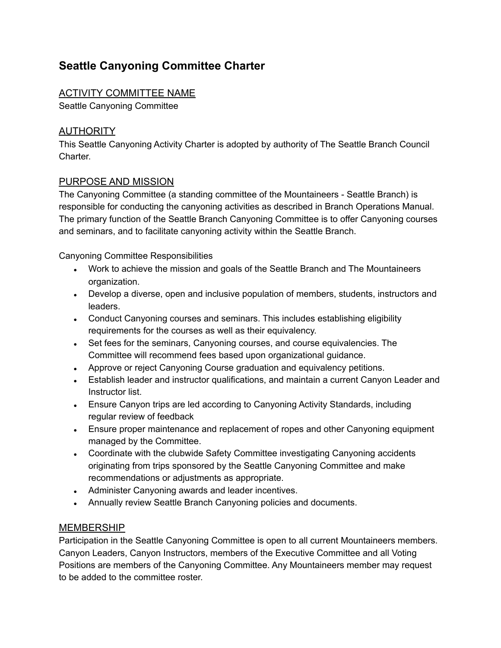# **Seattle Canyoning Committee Charter**

# ACTIVITY COMMITTEE NAME

Seattle Canyoning Committee

# AUTHORITY

This Seattle Canyoning Activity Charter is adopted by authority of The Seattle Branch Council Charter.

# PURPOSE AND MISSION

The Canyoning Committee (a standing committee of the Mountaineers - Seattle Branch) is responsible for conducting the canyoning activities as described in Branch Operations Manual. The primary function of the Seattle Branch Canyoning Committee is to offer Canyoning courses and seminars, and to facilitate canyoning activity within the Seattle Branch.

Canyoning Committee Responsibilities

- Work to achieve the mission and goals of the Seattle Branch and The Mountaineers organization.
- Develop a diverse, open and inclusive population of members, students, instructors and leaders.
- Conduct Canyoning courses and seminars. This includes establishing eligibility requirements for the courses as well as their equivalency.
- Set fees for the seminars, Canyoning courses, and course equivalencies. The Committee will recommend fees based upon organizational guidance.
- Approve or reject Canyoning Course graduation and equivalency petitions.
- Establish leader and instructor qualifications, and maintain a current Canyon Leader and Instructor list.
- Ensure Canyon trips are led according to Canyoning Activity Standards, including regular review of feedback
- Ensure proper maintenance and replacement of ropes and other Canyoning equipment managed by the Committee.
- Coordinate with the clubwide Safety Committee investigating Canyoning accidents originating from trips sponsored by the Seattle Canyoning Committee and make recommendations or adjustments as appropriate.
- Administer Canyoning awards and leader incentives.
- Annually review Seattle Branch Canyoning policies and documents.

# MEMBERSHIP

Participation in the Seattle Canyoning Committee is open to all current Mountaineers members. Canyon Leaders, Canyon Instructors, members of the Executive Committee and all Voting Positions are members of the Canyoning Committee. Any Mountaineers member may request to be added to the committee roster.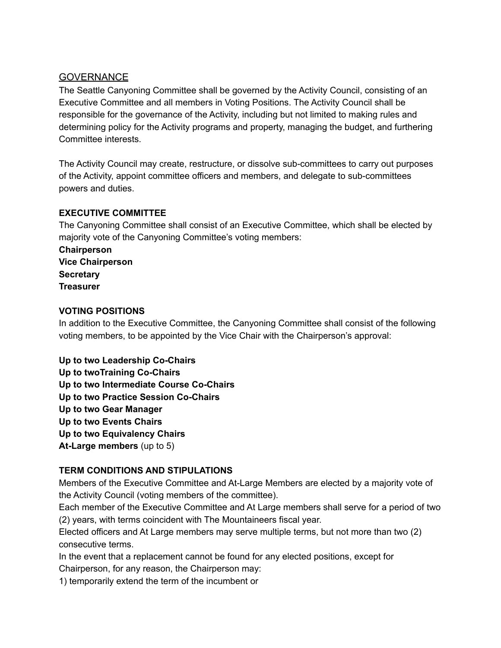#### **GOVERNANCE**

The Seattle Canyoning Committee shall be governed by the Activity Council, consisting of an Executive Committee and all members in Voting Positions. The Activity Council shall be responsible for the governance of the Activity, including but not limited to making rules and determining policy for the Activity programs and property, managing the budget, and furthering Committee interests.

The Activity Council may create, restructure, or dissolve sub-committees to carry out purposes of the Activity, appoint committee officers and members, and delegate to sub-committees powers and duties.

#### **EXECUTIVE COMMITTEE**

The Canyoning Committee shall consist of an Executive Committee, which shall be elected by majority vote of the Canyoning Committee's voting members:

**Chairperson Vice Chairperson Secretary Treasurer**

#### **VOTING POSITIONS**

In addition to the Executive Committee, the Canyoning Committee shall consist of the following voting members, to be appointed by the Vice Chair with the Chairperson's approval:

**Up to two Leadership Co-Chairs Up to twoTraining Co-Chairs Up to two Intermediate Course Co-Chairs Up to two Practice Session Co-Chairs Up to two Gear Manager Up to two Events Chairs Up to two Equivalency Chairs At-Large members** (up to 5)

# **TERM CONDITIONS AND STIPULATIONS**

Members of the Executive Committee and At-Large Members are elected by a majority vote of the Activity Council (voting members of the committee).

Each member of the Executive Committee and At Large members shall serve for a period of two (2) years, with terms coincident with The Mountaineers fiscal year.

Elected officers and At Large members may serve multiple terms, but not more than two (2) consecutive terms.

In the event that a replacement cannot be found for any elected positions, except for Chairperson, for any reason, the Chairperson may:

1) temporarily extend the term of the incumbent or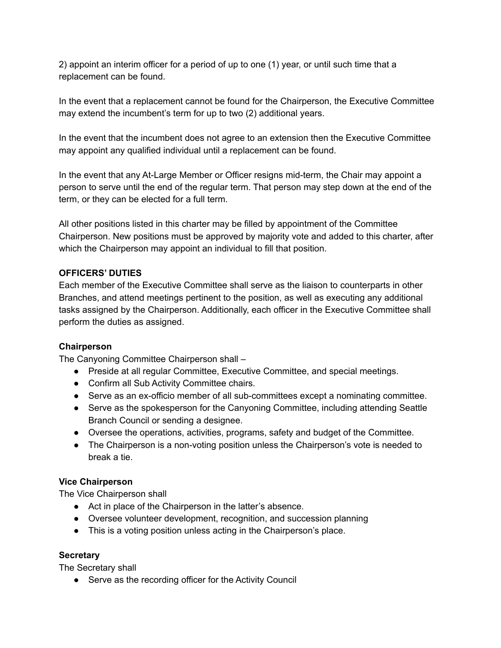2) appoint an interim officer for a period of up to one (1) year, or until such time that a replacement can be found.

In the event that a replacement cannot be found for the Chairperson, the Executive Committee may extend the incumbent's term for up to two (2) additional years.

In the event that the incumbent does not agree to an extension then the Executive Committee may appoint any qualified individual until a replacement can be found.

In the event that any At-Large Member or Officer resigns mid-term, the Chair may appoint a person to serve until the end of the regular term. That person may step down at the end of the term, or they can be elected for a full term.

All other positions listed in this charter may be filled by appointment of the Committee Chairperson. New positions must be approved by majority vote and added to this charter, after which the Chairperson may appoint an individual to fill that position.

#### **OFFICERS' DUTIES**

Each member of the Executive Committee shall serve as the liaison to counterparts in other Branches, and attend meetings pertinent to the position, as well as executing any additional tasks assigned by the Chairperson. Additionally, each officer in the Executive Committee shall perform the duties as assigned.

#### **Chairperson**

The Canyoning Committee Chairperson shall –

- Preside at all regular Committee, Executive Committee, and special meetings.
- Confirm all Sub Activity Committee chairs.
- Serve as an ex-officio member of all sub-committees except a nominating committee.
- Serve as the spokesperson for the Canyoning Committee, including attending Seattle Branch Council or sending a designee.
- Oversee the operations, activities, programs, safety and budget of the Committee.
- The Chairperson is a non-voting position unless the Chairperson's vote is needed to break a tie.

#### **Vice Chairperson**

The Vice Chairperson shall

- Act in place of the Chairperson in the latter's absence.
- Oversee volunteer development, recognition, and succession planning
- This is a voting position unless acting in the Chairperson's place.

#### **Secretary**

The Secretary shall

● Serve as the recording officer for the Activity Council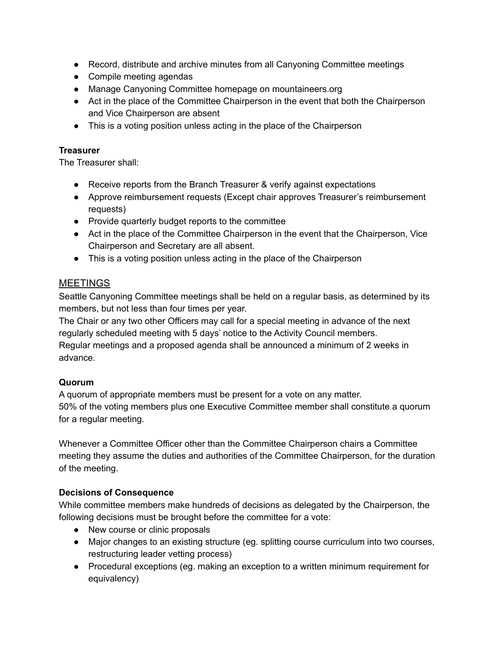- Record, distribute and archive minutes from all Canyoning Committee meetings
- Compile meeting agendas
- Manage Canyoning Committee homepage on mountaineers.org
- Act in the place of the Committee Chairperson in the event that both the Chairperson and Vice Chairperson are absent
- This is a voting position unless acting in the place of the Chairperson

#### **Treasurer**

The Treasurer shall:

- Receive reports from the Branch Treasurer & verify against expectations
- Approve reimbursement requests (Except chair approves Treasurer's reimbursement requests)
- Provide quarterly budget reports to the committee
- Act in the place of the Committee Chairperson in the event that the Chairperson, Vice Chairperson and Secretary are all absent.
- This is a voting position unless acting in the place of the Chairperson

#### **MEETINGS**

Seattle Canyoning Committee meetings shall be held on a regular basis, as determined by its members, but not less than four times per year.

The Chair or any two other Officers may call for a special meeting in advance of the next regularly scheduled meeting with 5 days' notice to the Activity Council members. Regular meetings and a proposed agenda shall be announced a minimum of 2 weeks in

#### advance.

#### **Quorum**

A quorum of appropriate members must be present for a vote on any matter. 50% of the voting members plus one Executive Committee member shall constitute a quorum for a regular meeting.

Whenever a Committee Officer other than the Committee Chairperson chairs a Committee meeting they assume the duties and authorities of the Committee Chairperson, for the duration of the meeting.

#### **Decisions of Consequence**

While committee members make hundreds of decisions as delegated by the Chairperson, the following decisions must be brought before the committee for a vote:

- New course or clinic proposals
- Major changes to an existing structure (eg. splitting course curriculum into two courses, restructuring leader vetting process)
- Procedural exceptions (eg. making an exception to a written minimum requirement for equivalency)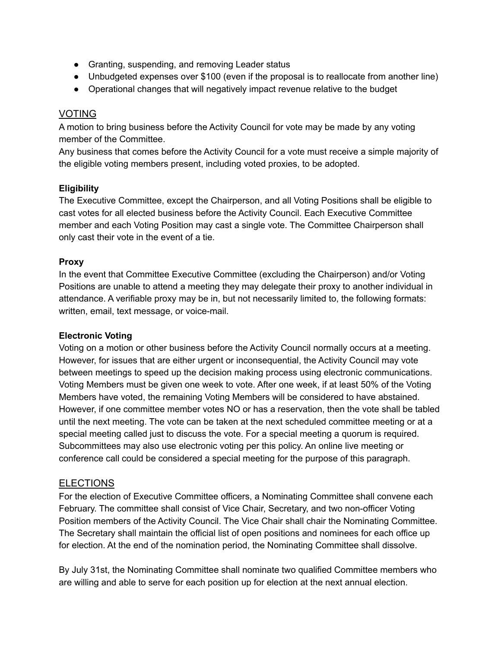- Granting, suspending, and removing Leader status
- Unbudgeted expenses over \$100 (even if the proposal is to reallocate from another line)
- Operational changes that will negatively impact revenue relative to the budget

#### VOTING

A motion to bring business before the Activity Council for vote may be made by any voting member of the Committee.

Any business that comes before the Activity Council for a vote must receive a simple majority of the eligible voting members present, including voted proxies, to be adopted.

#### **Eligibility**

The Executive Committee, except the Chairperson, and all Voting Positions shall be eligible to cast votes for all elected business before the Activity Council. Each Executive Committee member and each Voting Position may cast a single vote. The Committee Chairperson shall only cast their vote in the event of a tie.

#### **Proxy**

In the event that Committee Executive Committee (excluding the Chairperson) and/or Voting Positions are unable to attend a meeting they may delegate their proxy to another individual in attendance. A verifiable proxy may be in, but not necessarily limited to, the following formats: written, email, text message, or voice-mail.

#### **Electronic Voting**

Voting on a motion or other business before the Activity Council normally occurs at a meeting. However, for issues that are either urgent or inconsequential, the Activity Council may vote between meetings to speed up the decision making process using electronic communications. Voting Members must be given one week to vote. After one week, if at least 50% of the Voting Members have voted, the remaining Voting Members will be considered to have abstained. However, if one committee member votes NO or has a reservation, then the vote shall be tabled until the next meeting. The vote can be taken at the next scheduled committee meeting or at a special meeting called just to discuss the vote. For a special meeting a quorum is required. Subcommittees may also use electronic voting per this policy. An online live meeting or conference call could be considered a special meeting for the purpose of this paragraph.

#### **ELECTIONS**

For the election of Executive Committee officers, a Nominating Committee shall convene each February. The committee shall consist of Vice Chair, Secretary, and two non-officer Voting Position members of the Activity Council. The Vice Chair shall chair the Nominating Committee. The Secretary shall maintain the official list of open positions and nominees for each office up for election. At the end of the nomination period, the Nominating Committee shall dissolve.

By July 31st, the Nominating Committee shall nominate two qualified Committee members who are willing and able to serve for each position up for election at the next annual election.